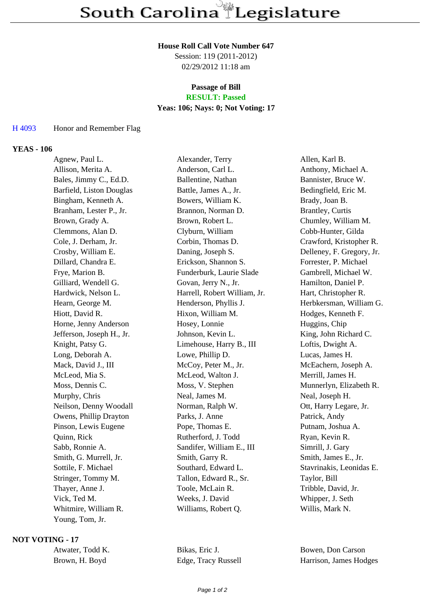### **House Roll Call Vote Number 647**

Session: 119 (2011-2012) 02/29/2012 11:18 am

## **Passage of Bill**

# **RESULT: Passed**

## **Yeas: 106; Nays: 0; Not Voting: 17**

### H 4093 Honor and Remember Flag

## **YEAS - 106**

| Agnew, Paul L.            | Alexander, Terry             | Allen, Karl B.            |
|---------------------------|------------------------------|---------------------------|
| Allison, Merita A.        | Anderson, Carl L.            | Anthony, Michael A.       |
| Bales, Jimmy C., Ed.D.    | Ballentine, Nathan           | Bannister, Bruce W.       |
| Barfield, Liston Douglas  | Battle, James A., Jr.        | Bedingfield, Eric M.      |
| Bingham, Kenneth A.       | Bowers, William K.           | Brady, Joan B.            |
| Branham, Lester P., Jr.   | Brannon, Norman D.           | <b>Brantley</b> , Curtis  |
| Brown, Grady A.           | Brown, Robert L.             | Chumley, William M.       |
| Clemmons, Alan D.         | Clyburn, William             | Cobb-Hunter, Gilda        |
| Cole, J. Derham, Jr.      | Corbin, Thomas D.            | Crawford, Kristopher R.   |
| Crosby, William E.        | Daning, Joseph S.            | Delleney, F. Gregory, Jr. |
| Dillard, Chandra E.       | Erickson, Shannon S.         | Forrester, P. Michael     |
| Frye, Marion B.           | Funderburk, Laurie Slade     | Gambrell, Michael W.      |
| Gilliard, Wendell G.      | Govan, Jerry N., Jr.         | Hamilton, Daniel P.       |
| Hardwick, Nelson L.       | Harrell, Robert William, Jr. | Hart, Christopher R.      |
| Hearn, George M.          | Henderson, Phyllis J.        | Herbkersman, William G.   |
| Hiott, David R.           | Hixon, William M.            | Hodges, Kenneth F.        |
| Horne, Jenny Anderson     | Hosey, Lonnie                | Huggins, Chip             |
| Jefferson, Joseph H., Jr. | Johnson, Kevin L.            | King, John Richard C.     |
| Knight, Patsy G.          | Limehouse, Harry B., III     | Loftis, Dwight A.         |
| Long, Deborah A.          | Lowe, Phillip D.             | Lucas, James H.           |
| Mack, David J., III       | McCoy, Peter M., Jr.         | McEachern, Joseph A.      |
| McLeod, Mia S.            | McLeod, Walton J.            | Merrill, James H.         |
| Moss, Dennis C.           | Moss, V. Stephen             | Munnerlyn, Elizabeth R.   |
| Murphy, Chris             | Neal, James M.               | Neal, Joseph H.           |
| Neilson, Denny Woodall    | Norman, Ralph W.             | Ott, Harry Legare, Jr.    |
| Owens, Phillip Drayton    | Parks, J. Anne               | Patrick, Andy             |
| Pinson, Lewis Eugene      | Pope, Thomas E.              | Putnam, Joshua A.         |
| Quinn, Rick               | Rutherford, J. Todd          | Ryan, Kevin R.            |
| Sabb, Ronnie A.           | Sandifer, William E., III    | Simrill, J. Gary          |
| Smith, G. Murrell, Jr.    | Smith, Garry R.              | Smith, James E., Jr.      |
| Sottile, F. Michael       | Southard, Edward L.          | Stavrinakis, Leonidas E.  |
| Stringer, Tommy M.        | Tallon, Edward R., Sr.       | Taylor, Bill              |
| Thayer, Anne J.           | Toole, McLain R.             | Tribble, David, Jr.       |
| Vick, Ted M.              | Weeks, J. David              | Whipper, J. Seth          |
| Whitmire, William R.      | Williams, Robert Q.          | Willis, Mark N.           |
| Young, Tom, Jr.           |                              |                           |

### **NOT VOTING - 17**

Atwater, Todd K. Bikas, Eric J. Bowen, Don Carson Brown, H. Boyd Edge, Tracy Russell Harrison, James Hodges

Page 1 of 2